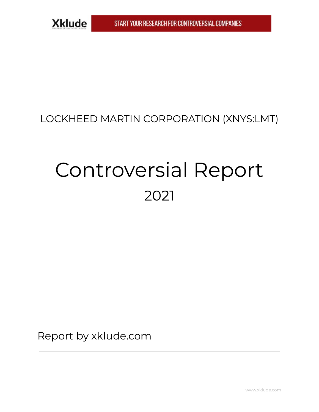### LOCKHEED MARTIN CORPORATION (XNYS:LMT)

# Controversial Report 2021

<span id="page-0-0"></span>Report by xklude.com

**Xklude** 

www.xklude.com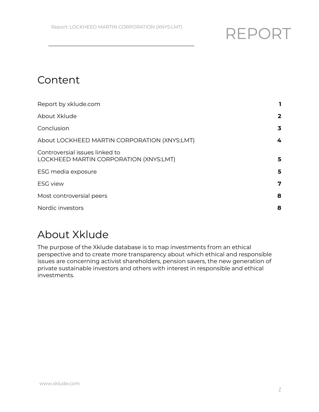### Content

| Report by xklude.com                                                     |              |
|--------------------------------------------------------------------------|--------------|
| About Xklude                                                             | $\mathbf{2}$ |
| Conclusion                                                               | 3            |
| About LOCKHEED MARTIN CORPORATION (XNYS:LMT)                             | 4            |
| Controversial issues linked to<br>LOCKHEED MARTIN CORPORATION (XNYS:LMT) | 5            |
| ESG media exposure                                                       | 5            |
| <b>ESG</b> view                                                          | 7            |
| Most controversial peers                                                 | 8            |
| Nordic investors                                                         | 8            |

### <span id="page-1-0"></span>About Xklude

The purpose of the Xklude database is to map investments from an ethical perspective and to create more transparency about which ethical and responsible issues are concerning activist shareholders, pension savers, the new generation of private sustainable investors and others with interest in responsible and ethical investments.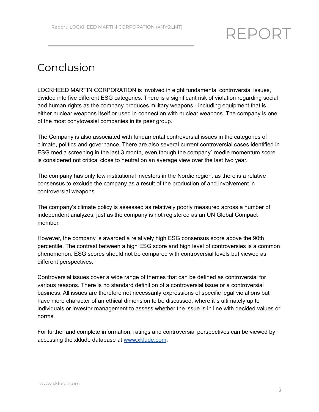### <span id="page-2-0"></span>Conclusion

LOCKHEED MARTIN CORPORATION is involved in eight fundamental controversial issues, divided into five different ESG categories. There is a significant risk of violation regarding social and human rights as the company produces military weapons - including equipment that is either nuclear weapons itself or used in connection with nuclear weapons. The company is one of the most conytovesiel companies in its peer group.

The Company is also associated with fundamental controversial issues in the categories of climate, politics and governance. There are also several current controversial cases identified in ESG media screening in the last 3 month, even though the company´ medie momentum score is considered not critical close to neutral on an average view over the last two year.

The company has only few institutional investors in the Nordic region, as there is a relative consensus to exclude the company as a result of the production of and involvement in controversial weapons.

The company's climate policy is assessed as relatively poorly measured across a number of independent analyzes, just as the company is not registered as an UN Global Compact member.

However, the company is awarded a relatively high ESG consensus score above the 90th percentile. The contrast between a high ESG score and high level of controversies is a common phenomenon. ESG scores should not be compared with controversial levels but viewed as different perspectives.

Controversial issues cover a wide range of themes that can be defined as controversial for various reasons. There is no standard definition of a controversial issue or a controversial business. All issues are therefore not necessarily expressions of specific legal violations but have more character of an ethical dimension to be discussed, where it´s ultimately up to individuals or investor management to assess whether the issue is in line with decided values or norms.

For further and complete information, ratings and controversial perspectives can be viewed by accessing the xklude database at [www.xklude.com](http://www.xklude.com).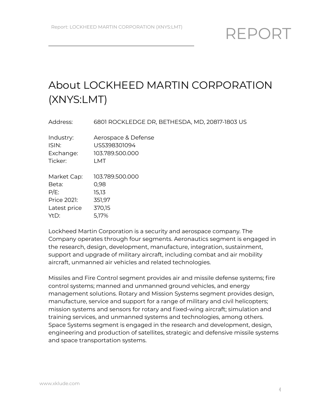## <span id="page-3-0"></span>About LOCKHEED MARTIN CORPORATION (XNYS:LMT)

| Address: | 6801 ROCKLEDGE DR, BETHESDA, MD, 20817-1803 US |
|----------|------------------------------------------------|
|----------|------------------------------------------------|

| Industry:    | Aerospace & Defense |
|--------------|---------------------|
| ISIN:        | US5398301094        |
| Exchange:    | 103.789.500.000     |
| Ticker:      | LMT                 |
| Market Cap:  | 103.789.500.000     |
| Beta:        | 0,98                |
| $P/E$ :      | 15,13               |
| Price 2021:  | 351,97              |
| Latest price | 370,15              |
| YtD:         | 5,17%               |

Lockheed Martin Corporation is a security and aerospace company. The Company operates through four segments. Aeronautics segment is engaged in the research, design, development, manufacture, integration, sustainment, support and upgrade of military aircraft, including combat and air mobility aircraft, unmanned air vehicles and related technologies.

Missiles and Fire Control segment provides air and missile defense systems; fire control systems; manned and unmanned ground vehicles, and energy management solutions. Rotary and Mission Systems segment provides design, manufacture, service and support for a range of military and civil helicopters; mission systems and sensors for rotary and fixed-wing aircraft; simulation and training services, and unmanned systems and technologies, among others. Space Systems segment is engaged in the research and development, design, engineering and production of satellites, strategic and defensive missile systems and space transportation systems.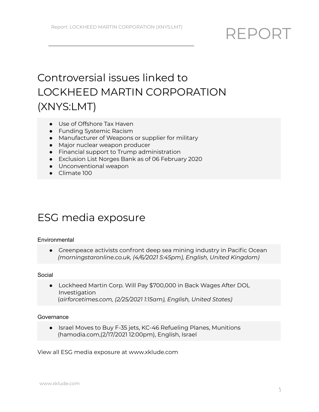## Controversial issues linked to LOCKHEED MARTIN CORPORATION (XNYS:LMT)

- <span id="page-4-0"></span>Use of Offshore Tax Haven
- Funding Systemic Racism
- Manufacturer of Weapons or supplier for military
- Major nuclear weapon producer
- Financial support to Trump administration
- Exclusion List Norges Bank as of 06 February 2020
- Unconventional weapon
- Climate 100

### <span id="page-4-1"></span>ESG media exposure

#### **Environmental**

● Greenpeace activists confront deep sea mining industry in Pacific Ocean *(morningstaronline.co.uk, (4/6/2021 5:45pm), English, United Kingdom)*

#### Social

● Lockheed Martin Corp. Will Pay \$700,000 in Back Wages After DOL Investigation (*airforcetimes.com, (2/25/2021 1:15am), English, United States)*

#### **Governance**

● Israel Moves to Buy F-35 jets, KC-46 Refueling Planes, Munitions (hamodia.com,(2/17/2021 12:00pm), English, Israel

View all ESG media exposure at www.xklude.com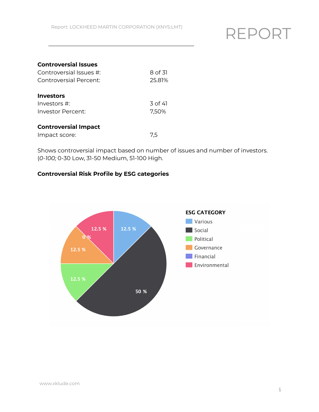| <b>Controversial Issues</b> |                      |
|-----------------------------|----------------------|
| Controversial Issues #:     | 8 of 31              |
| Controversial Percent:      | 25.81%               |
| <b>Investors</b>            |                      |
| Investors $\#$              | $\overline{3}$ of 41 |
| Investor Percent:           | 7,50%                |
| Cantuavavaial luanaat       |                      |

#### **Controversial Impact**

| Impact score: |  |
|---------------|--|
|---------------|--|

Shows controversial impact based on number of issues and number of investors. (*0-100;* 0-30 Low, 31-50 Medium, 51-100 High.

#### **Controversial Risk Profile by ESG categories**

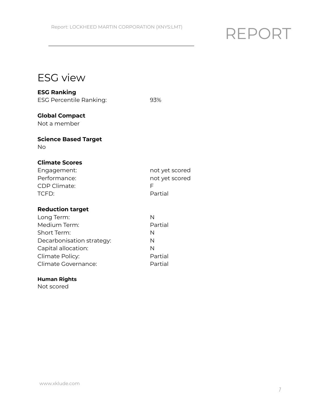<span id="page-6-0"></span>ESG view

**ESG Ranking** ESG Percentile Ranking: 93%

**Global Compact** Not a member

#### **Science Based Target**

No

#### **Climate Scores**

| Engagement:  | not yet scored |
|--------------|----------------|
| Performance: | not yet scored |
| CDP Climate: |                |
| TCFD:        | Partial        |

#### **Reduction target**

| Long Term:                |         |
|---------------------------|---------|
| Medium Term:              | Partial |
| Short Term:               | N       |
| Decarbonisation strategy: | N       |
| Capital allocation:       | N       |
| Climate Policy:           | Partial |
| Climate Governance:       | Partial |

#### **Human Rights**

Not scored